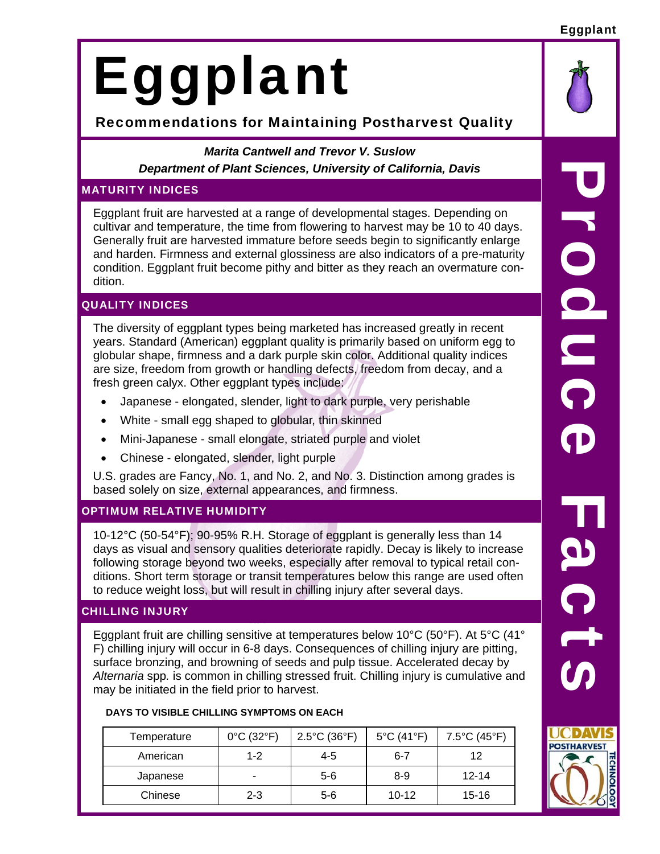#### Eggplant

# Eggplant

# Recommendations for Maintaining Postharvest Quality

*Marita Cantwell and Trevor V. Suslow Department of Plant Sciences, University of California, Davis* 

# MATURITY INDICES

Eggplant fruit are harvested at a range of developmental stages. Depending on cultivar and temperature, the time from flowering to harvest may be 10 to 40 days. Generally fruit are harvested immature before seeds begin to significantly enlarge and harden. Firmness and external glossiness are also indicators of a pre-maturity condition. Eggplant fruit become pithy and bitter as they reach an overmature condition.

# QUALITY INDICES

The diversity of eggplant types being marketed has increased greatly in recent years. Standard (American) eggplant quality is primarily based on uniform egg to globular shape, firmness and a dark purple skin color. Additional quality indices are size, freedom from growth or handling defects, freedom from decay, and a fresh green calyx. Other eggplant types include:

- Japanese elongated, slender, light to dark purple, very perishable
- White small egg shaped to globular, thin skinned
- Mini-Japanese small elongate, striated purple and violet
- Chinese elongated, slender, light purple

U.S. grades are Fancy, No. 1, and No. 2, and No. 3. Distinction among grades is based solely on size, external appearances, and firmness.

# OPTIMUM RELATIVE HUMIDITY

10-12°C (50-54°F); 90-95% R.H. Storage of eggplant is generally less than 14 days as visual and sensory qualities deteriorate rapidly. Decay is likely to increase following storage beyond two weeks, especially after removal to typical retail conditions. Short term storage or transit temperatures below this range are used often to reduce weight loss, but will result in chilling injury after several days.

# CHILLING INJURY

Eggplant fruit are chilling sensitive at temperatures below 10°C (50°F). At 5°C (41° F) chilling injury will occur in 6-8 days. Consequences of chilling injury are pitting, surface bronzing, and browning of seeds and pulp tissue. Accelerated decay by *Alternaria* spp*.* is common in chilling stressed fruit. Chilling injury is cumulative and may be initiated in the field prior to harvest.

| DAYS TO VISIBLE CHILLING SYMPTOMS ON EACH |  |
|-------------------------------------------|--|
|-------------------------------------------|--|

| Temperature | $0^{\circ}$ C (32 $^{\circ}$ F) | $2.5^{\circ}$ C (36 $^{\circ}$ F) | $5^{\circ}$ C (41 $^{\circ}$ F) | 7.5°C (45°F) |
|-------------|---------------------------------|-----------------------------------|---------------------------------|--------------|
| American    | $1 - 2$                         | 4-5                               | 6-7                             | 12           |
| Japanese    | -                               | $5-6$                             | 8-9                             | $12 - 14$    |
| Chinese     | $2 - 3$                         | $5-6$                             | $10 - 12$                       | $15 - 16$    |

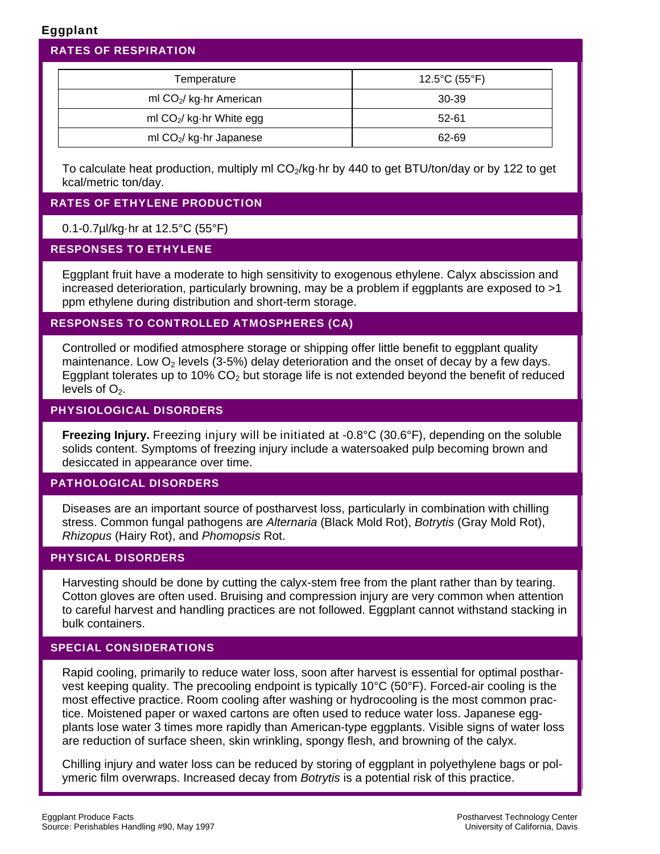# Eggplant

| <b>RATES OF RESPIRATION</b>         |                                    |
|-------------------------------------|------------------------------------|
| Temperature                         | $12.5^{\circ}$ C (55 $^{\circ}$ F) |
| ml CO <sub>2</sub> / kg·hr American | 30-39                              |
| ml $CO2$ / kg·hr White egg          | 52-61                              |
| ml CO <sub>2</sub> / kg·hr Japanese | 62-69                              |

To calculate heat production, multiply ml  $CO<sub>2</sub>/kg·$ hr by 440 to get BTU/ton/day or by 122 to get kcal/metric ton/day.

# RATES OF ETHYLENE PRODUCTION

# 0.1-0.7µl/kg·hr at 12.5°C (55°F)

#### RESPONSES TO ETHYLENE

Eggplant fruit have a moderate to high sensitivity to exogenous ethylene. Calyx abscission and increased deterioration, particularly browning, may be a problem if eggplants are exposed to >1 ppm ethylene during distribution and short-term storage.

# RESPONSES TO CONTROLLED ATMOSPHERES (CA)

Controlled or modified atmosphere storage or shipping offer little benefit to eggplant quality maintenance. Low  $O_2$  levels (3-5%) delay deterioration and the onset of decay by a few days. Eggplant tolerates up to 10%  $CO<sub>2</sub>$  but storage life is not extended beyond the benefit of reduced levels of  $O<sub>2</sub>$ .

#### PHYSIOLOGICAL DISORDERS

**Freezing Injury.** Freezing injury will be initiated at -0.8°C (30.6°F), depending on the soluble solids content. Symptoms of freezing injury include a watersoaked pulp becoming brown and desiccated in appearance over time.

#### PATHOLOGICAL DISORDERS

Diseases are an important source of postharvest loss, particularly in combination with chilling stress. Common fungal pathogens are *Alternaria* (Black Mold Rot), *Botrytis* (Gray Mold Rot), *Rhizopus* (Hairy Rot), and *Phomopsis* Rot.

# PHYSICAL DISORDERS

Harvesting should be done by cutting the calyx-stem free from the plant rather than by tearing. Cotton gloves are often used. Bruising and compression injury are very common when attention to careful harvest and handling practices are not followed. Eggplant cannot withstand stacking in bulk containers.

#### SPECIAL CONSIDERATIONS

Rapid cooling, primarily to reduce water loss, soon after harvest is essential for optimal postharvest keeping quality. The precooling endpoint is typically 10°C (50°F). Forced-air cooling is the most effective practice. Room cooling after washing or hydrocooling is the most common practice. Moistened paper or waxed cartons are often used to reduce water loss. Japanese eggplants lose water 3 times more rapidly than American-type eggplants. Visible signs of water loss are reduction of surface sheen, skin wrinkling, spongy flesh, and browning of the calyx.

Chilling injury and water loss can be reduced by storing of eggplant in polyethylene bags or polymeric film overwraps. Increased decay from *Botrytis* is a potential risk of this practice.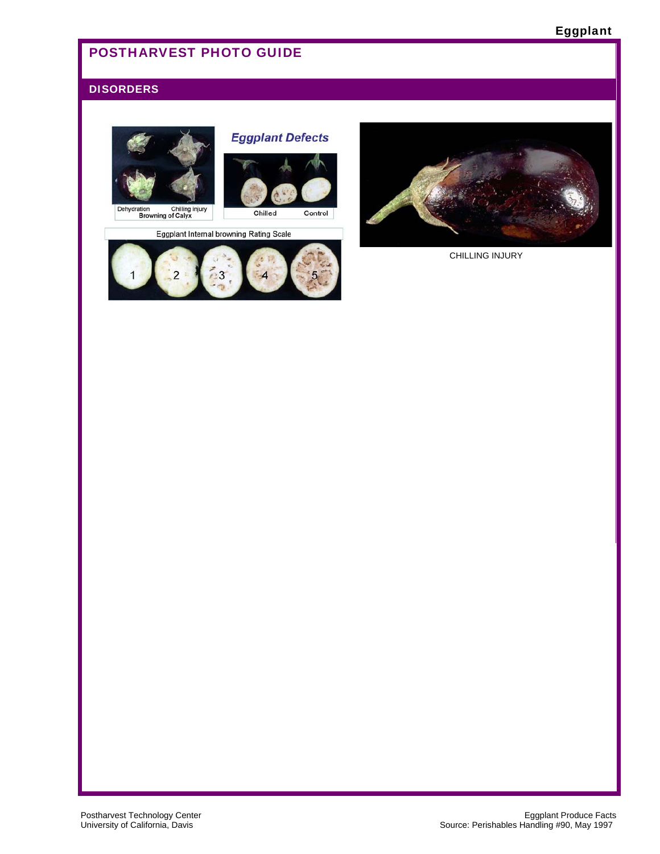# POSTHARVEST PHOTO GUIDE

#### **DISORDERS**







Eggplant Internal browning Rating Scale





CHILLING INJURY